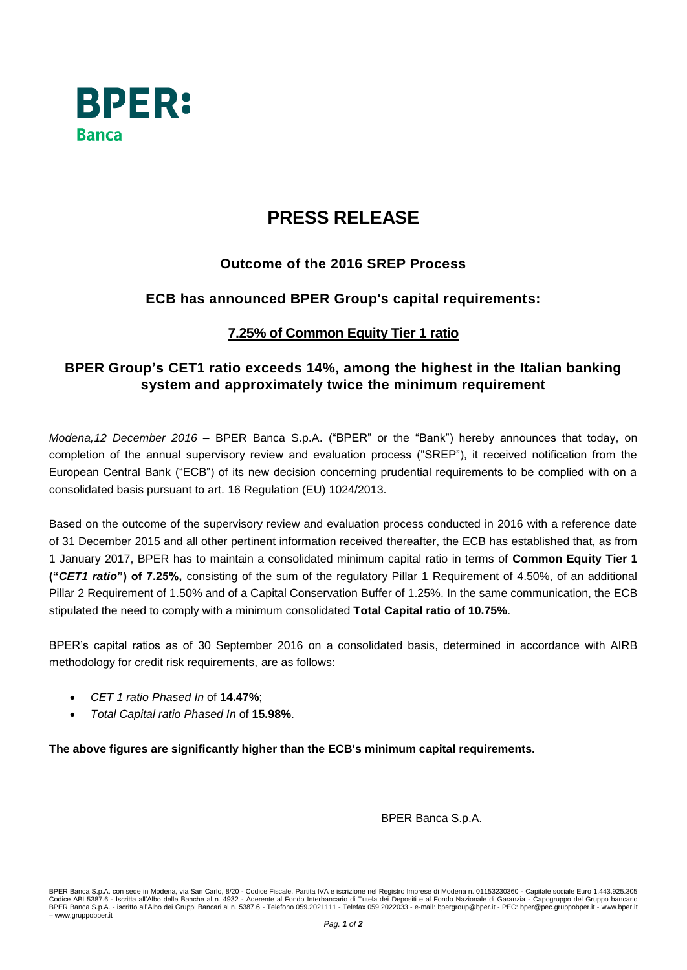

# **PRESS RELEASE**

### **Outcome of the 2016 SREP Process**

### **ECB has announced BPER Group's capital requirements:**

### **7.25% of Common Equity Tier 1 ratio**

## **BPER Group's CET1 ratio exceeds 14%, among the highest in the Italian banking system and approximately twice the minimum requirement**

*Modena,12 December 2016* – BPER Banca S.p.A. ("BPER" or the "Bank") hereby announces that today, on completion of the annual supervisory review and evaluation process ("SREP"), it received notification from the European Central Bank ("ECB") of its new decision concerning prudential requirements to be complied with on a consolidated basis pursuant to art. 16 Regulation (EU) 1024/2013.

Based on the outcome of the supervisory review and evaluation process conducted in 2016 with a reference date of 31 December 2015 and all other pertinent information received thereafter, the ECB has established that, as from 1 January 2017, BPER has to maintain a consolidated minimum capital ratio in terms of **Common Equity Tier 1 ("***CET1 ratio***") of 7.25%,** consisting of the sum of the regulatory Pillar 1 Requirement of 4.50%, of an additional Pillar 2 Requirement of 1.50% and of a Capital Conservation Buffer of 1.25%. In the same communication, the ECB stipulated the need to comply with a minimum consolidated **Total Capital ratio of 10.75%**.

BPER's capital ratios as of 30 September 2016 on a consolidated basis, determined in accordance with AIRB methodology for credit risk requirements, are as follows:

- *CET 1 ratio Phased In* of **14.47%**;
- *Total Capital ratio Phased In* of **15.98%**.

**The above figures are significantly higher than the ECB's minimum capital requirements.**

BPER Banca S.p.A.